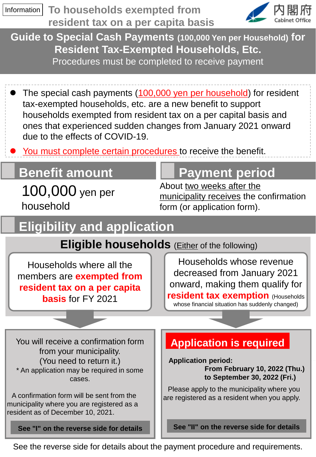

See the reverse side for details about the payment procedure and requirements.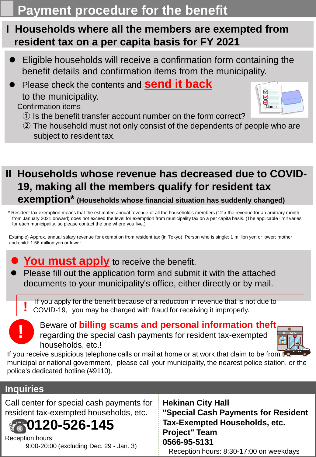# **Payment procedure for the benefit**

## **I Households where all the members are exempted from resident tax on a per capita basis for FY 2021**

- ⚫ Eligible households will receive a confirmation form containing the benefit details and confirmation items from the municipality.
- ⚫ Please check the contents and **send it back** to the municipality.



- ① Is the benefit transfer account number on the form correct?
- ② The household must not only consist of the dependents of people who are subject to resident tax.

### **II Households whose revenue has decreased due to COVID-19, making all the members qualify for resident tax exemption\* (Households whose financial situation has suddenly changed)**

\* Resident tax exemption means that the estimated annual revenue of all the household's members (12 x the revenue for an arbitrary month from January 2021 onward) does not exceed the level for exemption from municipality tax on a per capita basis. (The applicable limit varies for each municipality, so please contact the one where you live.)

Example) Approx. annual salary revenue for exemption from resident tax (in Tokyo) Person who is single: 1 million yen or lower; mother and child: 1.56 million yen or lower.



Please fill out the application form and submit it with the attached documents to your municipality's office, either directly or by mail.

If you apply for the benefit because of a reduction in revenue that is not due to COVID-19, you may be charged with fraud for receiving it improperly.

**!**

**!**

### Beware of **billing scams and personal information theft** regarding the special cash payments for resident tax-exempted households, etc.!



Name

000

If you receive suspicious telephone calls or mail at home or at work that claim to be from the municipal or national government, please call your municipality, the nearest police station, or the police's dedicated hotline (#9110).

### **Inquiries**

Call center for special cash payments for resident tax-exempted households, etc. **0120-526-145**

Reception hours: 9:00-20:00 (excluding Dec. 29 - Jan. 3) **Hekinan City Hall "Special Cash Payments for Resident Tax-Exempted Households, etc. Project" Team 0566-95-5131** Reception hours: 8:30-17:00 on weekdays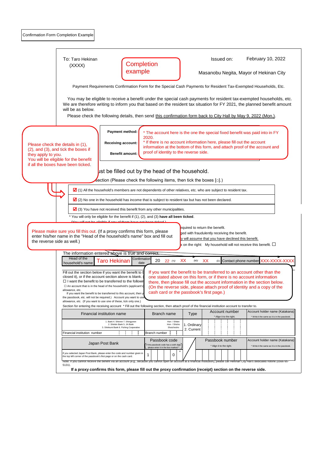|                    | Confirmation Form Completion Example                                                                                                                                                                                                                                                                                                                                                                                                                                                      |                                                                                                            |                                                                                                                                                                                                                                                                                                        |                                                                                 |  |
|--------------------|-------------------------------------------------------------------------------------------------------------------------------------------------------------------------------------------------------------------------------------------------------------------------------------------------------------------------------------------------------------------------------------------------------------------------------------------------------------------------------------------|------------------------------------------------------------------------------------------------------------|--------------------------------------------------------------------------------------------------------------------------------------------------------------------------------------------------------------------------------------------------------------------------------------------------------|---------------------------------------------------------------------------------|--|
|                    | To: Taro Hekinan<br>Completion                                                                                                                                                                                                                                                                                                                                                                                                                                                            |                                                                                                            | Issued on:                                                                                                                                                                                                                                                                                             | February 10, 2022                                                               |  |
|                    | (XXXX)<br>example                                                                                                                                                                                                                                                                                                                                                                                                                                                                         | Masanobu Negita, Mayor of Hekinan City                                                                     |                                                                                                                                                                                                                                                                                                        |                                                                                 |  |
|                    | Payment Requirements Confirmation Form for the Special Cash Payments for Resident Tax-Exempted Households, Etc.                                                                                                                                                                                                                                                                                                                                                                           |                                                                                                            |                                                                                                                                                                                                                                                                                                        |                                                                                 |  |
|                    | You may be eligible to receive a benefit under the special cash payments for resident tax-exempted households, etc.<br>We are therefore writing to inform you that based on the resident tax situation for FY 2021, the planned benefit amount<br>will be as below.                                                                                                                                                                                                                       |                                                                                                            |                                                                                                                                                                                                                                                                                                        |                                                                                 |  |
|                    | Please check the following details, then send this confirmation form back to City Hall by May 9, 2022 (Mon.).                                                                                                                                                                                                                                                                                                                                                                             |                                                                                                            |                                                                                                                                                                                                                                                                                                        |                                                                                 |  |
|                    | Payment method:<br>2020.                                                                                                                                                                                                                                                                                                                                                                                                                                                                  |                                                                                                            | * The account here is the one the special fixed benefit was paid into in FY                                                                                                                                                                                                                            |                                                                                 |  |
| they apply to you. | <b>Receiving account:</b><br>Please check the details in (1),<br>(2), and (3), and tick the boxes if<br><b>Benefit amount:</b><br>You will be eligible for the benefit                                                                                                                                                                                                                                                                                                                    | proof of identity to the reverse side.                                                                     | * If there is no account information here, please fill out the account<br>information at the bottom of this form, and attach proof of the account and                                                                                                                                                  |                                                                                 |  |
|                    | if all the boxes have been ticked.<br>ust be filled out by the head of the household.                                                                                                                                                                                                                                                                                                                                                                                                     |                                                                                                            |                                                                                                                                                                                                                                                                                                        |                                                                                 |  |
|                    | Section (Please check the following items, then tick the boxes $[\Box]$ .)<br>1) All the household's members are not dependents of other relatives, etc. who are subject to resident tax.                                                                                                                                                                                                                                                                                                 |                                                                                                            |                                                                                                                                                                                                                                                                                                        |                                                                                 |  |
|                    |                                                                                                                                                                                                                                                                                                                                                                                                                                                                                           | $\Delta$ (2) No one in the household has income that is subject to resident tax but has not been declared. |                                                                                                                                                                                                                                                                                                        |                                                                                 |  |
|                    | $\Box$ (3) You have not received this benefit from any other municipalities.                                                                                                                                                                                                                                                                                                                                                                                                              |                                                                                                            |                                                                                                                                                                                                                                                                                                        |                                                                                 |  |
|                    | You will only be eligible for the benefit if (1), (2), and (3) have all been ticked.                                                                                                                                                                                                                                                                                                                                                                                                      |                                                                                                            |                                                                                                                                                                                                                                                                                                        |                                                                                 |  |
|                    | (Vou will not be eligible if any of them have not been ticked)<br>Please make sure you fill this out. (If a proxy confirms this form, please<br>enter his/her name in the "Head of the household's name" box and fill out<br>the reverse side as well.)                                                                                                                                                                                                                                   |                                                                                                            | equired to return the benefit.<br>ged with fraudulently receiving the benefit.<br>ly will assume that you have declined this benefit.<br>x on the right: My household will not receive this benefit. $\square$                                                                                         |                                                                                 |  |
|                    | The information entered above is true and correct.                                                                                                                                                                                                                                                                                                                                                                                                                                        |                                                                                                            |                                                                                                                                                                                                                                                                                                        |                                                                                 |  |
|                    | Head of the<br>Confirmation<br><b>Taro Hekinan</b><br>20<br>household's name<br>date                                                                                                                                                                                                                                                                                                                                                                                                      | XX<br>$22$ (Y)<br>$(\mathsf{M})$                                                                           | XX<br>(D)                                                                                                                                                                                                                                                                                              | Contact phone number XXX-XXXX-XXX                                               |  |
|                    | Fill out the section below if you want the benefit to I<br>closed it), or if the account section above is blank.<br>$\Box$ I want the benefit to be transferred to the followir<br>$\Box$ An account that is in the head of the household's (applicant's<br>allowance, etc.<br>If you want the benefit to be transferred to this account, then y<br>the passbook, etc. will not be required.) Account you want to us<br>allowance, etc. (If you want to use one of these, tick only one.) | cash card or the passbook's first page.)                                                                   | If you want the benefit to be transferred to an account other than the<br>one stated above on this form, or if there is no account information<br>there, then please fill out the account information in the section below.<br>(On the reverse side, please attach proof of identity and a copy of the |                                                                                 |  |
|                    | Section for entering the receiving account * Fill out the following section, then attach proof of the financial institution account to transfer to.                                                                                                                                                                                                                                                                                                                                       |                                                                                                            |                                                                                                                                                                                                                                                                                                        |                                                                                 |  |
|                    | Financial institution name                                                                                                                                                                                                                                                                                                                                                                                                                                                                | Branch name<br>Type                                                                                        | Account number<br>* Align it to the right.                                                                                                                                                                                                                                                             | Account holder name (Katakana)<br>* Write it the same as it is in the passbook. |  |
|                    | 1. Bank 4. Shinren 7. Shingvoren<br>2. Shinkin Bank 5. JA Bank<br>3. Shinkumi Bank 6. Fishing Cooperative                                                                                                                                                                                                                                                                                                                                                                                 | Hon- / Shiten<br>Hon- / Shisho<br>1. Ordinary<br>Shutchosho<br>2. Current                                  |                                                                                                                                                                                                                                                                                                        |                                                                                 |  |
|                    | Financial institution number<br>Branch number                                                                                                                                                                                                                                                                                                                                                                                                                                             |                                                                                                            |                                                                                                                                                                                                                                                                                                        |                                                                                 |  |
|                    | Japan Post Bank                                                                                                                                                                                                                                                                                                                                                                                                                                                                           | Passbook code<br>If the passbook code has a sixth digit,                                                   | Passbook number<br>* Align it to the right.                                                                                                                                                                                                                                                            | Account holder name (Katakana)<br>* Write it the same as it is in the passbook. |  |
|                    |                                                                                                                                                                                                                                                                                                                                                                                                                                                                                           |                                                                                                            |                                                                                                                                                                                                                                                                                                        |                                                                                 |  |
|                    | If you selected Japan Post Bank, please enter the code and number given in<br>1<br>the top left corner of the passbook's first page or on the cash card.                                                                                                                                                                                                                                                                                                                                  | please enter it in the box marked *.<br>0                                                                  |                                                                                                                                                                                                                                                                                                        |                                                                                 |  |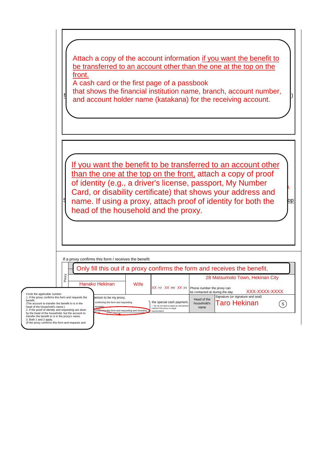